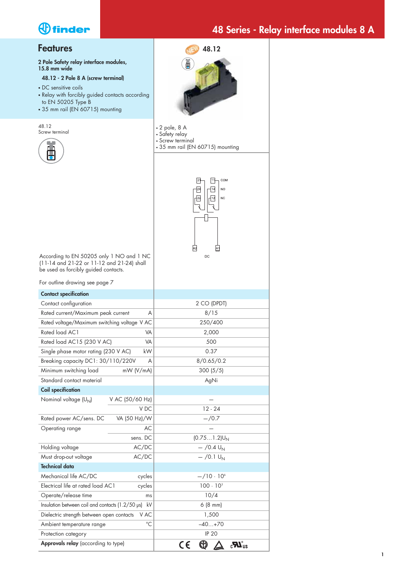## **48 Series - Relay interface modules 8 A**

### **Features**

**2 Pole Safety relay interface modules, 15.8 mm wide**

#### **48.12 - 2 Pole 8 A (screw terminal)**

- DC sensitive coils
- Relay with forcibly guided contacts according to EN 50205 Type B
- 35 mm rail (EN 60715) mounting

48.12 Screw terminal





- 2 pole, 8 A
- Safety relay • Screw terminal
- 35 mm rail (EN 60715) mounting



According to EN 50205 only 1 NO and 1 NC (11-14 and 21-22 or 11-12 and 21-24) shall be used as forcibly guided contacts.

| For outline drawing see page 7                   |                 |                                 |
|--------------------------------------------------|-----------------|---------------------------------|
| <b>Contact specification</b>                     |                 |                                 |
| Contact configuration                            |                 | 2 CO (DPDT)                     |
| Rated current/Maximum peak current               | A               | 8/15                            |
| Rated voltage/Maximum switching voltage V AC     |                 | 250/400                         |
| Rated load AC1                                   | VA              | 2,000                           |
| Rated load AC15 (230 V AC)                       | VA              | 500                             |
| Single phase motor rating (230 V AC)             | kW              | 0.37                            |
| Breaking capacity DC1: 30/110/220V               | A               | 8/0.65/0.2                      |
| Minimum switching load                           | mW (V/mA)       | 300(5/5)                        |
| Standard contact material                        |                 | AgNi                            |
| <b>Coil specification</b>                        |                 |                                 |
| Nominal voltage (U <sub>N</sub> )                | V AC (50/60 Hz) |                                 |
|                                                  | V DC            | $12 - 24$                       |
| Rated power AC/sens. DC                          | VA (50 Hz)/W    | $-/-0.7$                        |
| Operating range                                  | AC              |                                 |
|                                                  | sens. DC        | $(0.751.2)U_N$                  |
| Holding voltage                                  | AC/DC           | $-$ /0.4 U <sub>N</sub>         |
| Must drop-out voltage                            | AC/DC           | $-$ /0.1 $U_{N}$                |
| <b>Technical data</b>                            |                 |                                 |
| Mechanical life AC/DC                            | cycles          | $-$ /10 · 10 <sup>6</sup>       |
| Electrical life at rated load AC1                | cycles          | $100 \cdot 10^{3}$              |
| Operate/release time                             | ms              | 10/4                            |
| Insulation between coil and contacts (1.2/50 µs) | kV              | 6(8 mm)                         |
| Dielectric strength between open contacts        | V AC            | 1,500                           |
| Ambient temperature range                        | $^{\circ}C$     | $-40+70$                        |
| Protection category                              |                 | <b>IP 20</b>                    |
| Approvals relay (according to type)              |                 | $\mathbf{c}^{\mathbf{u}}$<br>C€ |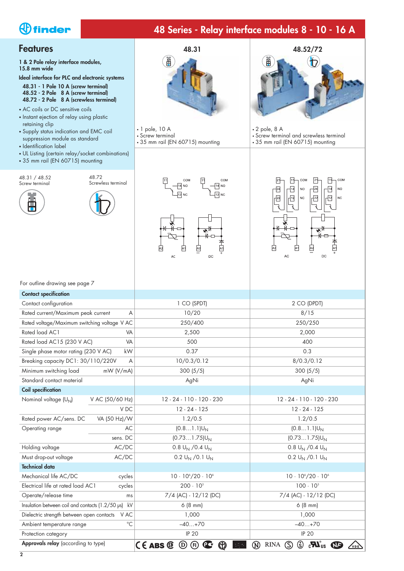## **48 Series - Relay interface modules 8 - 10 - 16 A**

### **Features**

**1 & 2 Pole relay interface modules, 15.8 mm wide**

**Ideal interface for PLC and electronic systems**

- **48.31 1 Pole 10 A (screw terminal) 48.52 - 2 Pole 8 A (screw terminal) 48.72 - 2 Pole 8 A (screwless terminal)**
- AC coils or DC sensitive coils
- Instant ejection of relay using plastic retaining clip
- Supply status indication and EMC coil suppression module as standard
- Identification label

48.31 / 48.52 Screw terminal

Ë

• UL Listing (certain relay/socket combinations)

48.72 Screwless terminal

• 35 mm rail (EN 60715) mounting



- 1 pole, 10 A • Screw terminal
- 35 mm rail (EN 60715) mounting

COM

 $\frac{14}{14}$  NO

 $\sqrt{12}$  NC

Ā

 $\Delta C$ 

 $\sqrt{11}$ 

囪

COM

 $\sqrt{14}$  NO

 $\sqrt{12}$  NC

 $\overline{A1}$ 

 $DC$ 



- 2 pole, 8 A
- Screw terminal and screwless terminal • 35 mm rail (EN 60715) mounting



|  | For outline drawing see page 7 |  |  |
|--|--------------------------------|--|--|
|  |                                |  |  |

| <b>Contact specification</b>                     |                 |                                                                                                      |                                                                                                                                       |
|--------------------------------------------------|-----------------|------------------------------------------------------------------------------------------------------|---------------------------------------------------------------------------------------------------------------------------------------|
| Contact configuration                            |                 | 1 CO (SPDT)                                                                                          | 2 CO (DPDT)                                                                                                                           |
| Rated current/Maximum peak current               | A               | 10/20                                                                                                | 8/15                                                                                                                                  |
| Rated voltage/Maximum switching voltage V AC     |                 | 250/400                                                                                              | 250/250                                                                                                                               |
| Rated load AC1                                   | VA              | 2,500                                                                                                | 2,000                                                                                                                                 |
| Rated load AC15 (230 V AC)                       | VA              | 500                                                                                                  | 400                                                                                                                                   |
| Single phase motor rating (230 V AC)             | kW              | 0.37                                                                                                 | 0.3                                                                                                                                   |
| Breaking capacity DC1: 30/110/220V               | A               | 10/0.3/0.12                                                                                          | 8/0.3/0.12                                                                                                                            |
| Minimum switching load                           | $mW$ (V/mA)     | 300(5/5)                                                                                             | 300(5/5)                                                                                                                              |
| Standard contact material                        |                 | AgNi                                                                                                 | AgNi                                                                                                                                  |
| <b>Coil specification</b>                        |                 |                                                                                                      |                                                                                                                                       |
| Nominal voltage (U <sub>N</sub> )                | V AC (50/60 Hz) | 12 - 24 - 110 - 120 - 230                                                                            | 12 - 24 - 110 - 120 - 230                                                                                                             |
|                                                  | V DC            | $12 - 24 - 125$                                                                                      | $12 - 24 - 125$                                                                                                                       |
| Rated power AC/sens. DC                          | VA (50 Hz)/W    | 1.2/0.5                                                                                              | 1.2/0.5                                                                                                                               |
| Operating range                                  | AC              | $(0.81.1)U_N$                                                                                        | $(0.81.1)U_N$                                                                                                                         |
|                                                  | sens. DC        | $(0.731.75)U_N$                                                                                      | $(0.731.75)U_N$                                                                                                                       |
| Holding voltage                                  | AC/DC           | 0.8 $U_N$ /0.4 $U_N$                                                                                 | 0.8 $U_N$ /0.4 $U_N$                                                                                                                  |
| Must drop-out voltage                            | AC/DC           | 0.2 $U_N$ /0.1 $U_N$                                                                                 | 0.2 $U_N$ /0.1 $U_N$                                                                                                                  |
| <b>Technical data</b>                            |                 |                                                                                                      |                                                                                                                                       |
| Mechanical life AC/DC                            | cycles          | $10 \cdot 10^{6} / 20 \cdot 10^{6}$                                                                  | $10 \cdot 10^{6} / 20 \cdot 10^{6}$                                                                                                   |
| Electrical life at rated load AC1                | cycles          | $200 \cdot 10^{3}$                                                                                   | $100 \cdot 10^{3}$                                                                                                                    |
| Operate/release time                             | ms              | 7/4 (AC) - 12/12 (DC)                                                                                | 7/4 (AC) - 12/12 (DC)                                                                                                                 |
| Insulation between coil and contacts (1.2/50 µs) | kV              | 6(8 mm)                                                                                              | 6(8 mm)                                                                                                                               |
| Dielectric strength between open contacts VAC    |                 | 1,000                                                                                                | 1,000                                                                                                                                 |
| Ambient temperature range                        | $^{\circ}C$     | $-40+70$                                                                                             | $-40+70$                                                                                                                              |
| Protection category                              |                 | <b>IP 20</b>                                                                                         | <b>IP 20</b>                                                                                                                          |
| Approvals relay (according to type)              |                 | $C \in ABS \circledcirc$<br>$^{\textregistered}$<br>(FI)<br>$\mathbf{C}$<br>, lovds<br>Register<br>Ю | كا<br>$\mathbf{c}$ <b>V</b> <sub>US</sub><br><b>RINA</b><br>$^\text{\textregistered}$<br>$\circledS$<br><b>NF</b><br>VDE <sup>N</sup> |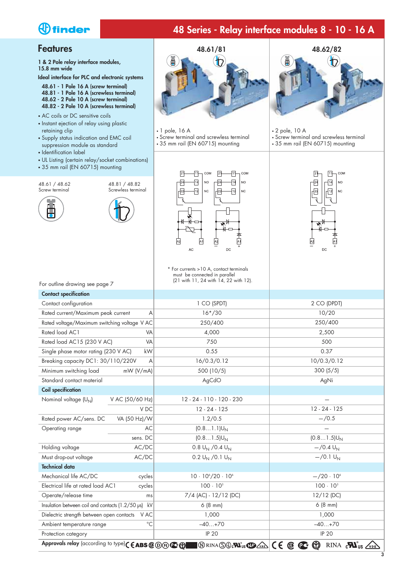## **48 Series - Relay interface modules 8 - 10 - 16 A**

#### **Features**

**1 & 2 Pole relay interface modules, 15.8 mm wide**

**Ideal interface for PLC and electronic systems**

- **48.61 1 Pole 16 A (screw terminal) 48.81 - 1 Pole 16 A (screwless terminal)**
- **48.62 2 Pole 10 A (screw terminal)**
- **48.82 2 Pole 10 A (screwless terminal)**
- AC coils or DC sensitive coils • Instant ejection of relay using plastic retaining clip
- Supply status indication and EMC coil suppression module as standard
- Identification label
- UL Listing (certain relay/socket combinations)
- 35 mm rail (EN 60715) mounting

48.61 / 48.62 Screw terminal







- 1 pole, 16 A
- Screw terminal and screwless terminal
- 35 mm rail (EN 60715) mounting

刊  $com$ 

 $-14$  $N^{\circ}$ 

 $\sqrt{12}$  $NC$ 

囟

**AC** 

 $\sqrt{21}$ 

-24

-22

 $\sqrt{2}$ 

 $\overline{\ast}$ 

 $D^{\mathsf{C}}$ 

 $\boxed{21}$ 

 $\sqrt{24}$ 

ΓĀ

 $_{\text{COM}}$ 

<sub>NO</sub>

 $NC$ 

冊

 $\overline{14}$ 

-[12

卤



- 2 pole, 10 A
	- Screw terminal and screwless terminal
	- 35 mm rail (EN 60715) mounting



| * For currents > 10 A, contact terminals |
|------------------------------------------|
| must be connected in parallel            |
| (21 with 11, 24 with 14, 22 with 12).    |

| For outline drawing see page 7                   |                 | $(21 \text{ with } 11, 24 \text{ with } 14, 22 \text{ with } 12).$                                                                                                                      |                                                                                                   |
|--------------------------------------------------|-----------------|-----------------------------------------------------------------------------------------------------------------------------------------------------------------------------------------|---------------------------------------------------------------------------------------------------|
| <b>Contact specification</b>                     |                 |                                                                                                                                                                                         |                                                                                                   |
| Contact configuration                            |                 | 1 CO (SPDT)                                                                                                                                                                             | 2 CO (DPDT)                                                                                       |
| Rated current/Maximum peak current               | Α               | $16*/30$                                                                                                                                                                                | 10/20                                                                                             |
| Rated voltage/Maximum switching voltage V AC     |                 | 250/400                                                                                                                                                                                 | 250/400                                                                                           |
| Rated load AC1                                   | VA              | 4,000                                                                                                                                                                                   | 2,500                                                                                             |
| Rated load AC15 (230 V AC)                       | VA              | 750                                                                                                                                                                                     | 500                                                                                               |
| Single phase motor rating (230 V AC)             | kW              | 0.55                                                                                                                                                                                    | 0.37                                                                                              |
| Breaking capacity DC1: 30/110/220V               | A               | 16/0.3/0.12                                                                                                                                                                             | 10/0.3/0.12                                                                                       |
| Minimum switching load                           | mW (V/mA)       | 500 (10/5)                                                                                                                                                                              | 300(5/5)                                                                                          |
| Standard contact material                        |                 | AgCdO                                                                                                                                                                                   | AgNi                                                                                              |
| <b>Coil specification</b>                        |                 |                                                                                                                                                                                         |                                                                                                   |
| Nominal voltage (U <sub>N</sub> )                | V AC (50/60 Hz) | 12 - 24 - 110 - 120 - 230                                                                                                                                                               |                                                                                                   |
|                                                  | V <sub>DC</sub> | $12 - 24 - 125$                                                                                                                                                                         | $12 - 24 - 125$                                                                                   |
| Rated power AC/sens. DC                          | VA (50 Hz)/W    | 1.2/0.5                                                                                                                                                                                 | $- / 0.5$                                                                                         |
| Operating range                                  | AC              | $(0.81.1)U_N$                                                                                                                                                                           |                                                                                                   |
|                                                  | sens. DC        | $(0.81.5)U_N$                                                                                                                                                                           | $(0.81.5)U_N$                                                                                     |
| Holding voltage                                  | AC/DC           | 0.8 $U_N$ /0.4 $U_N$                                                                                                                                                                    | $-$ /0.4 $U_N$                                                                                    |
| Must drop-out voltage                            | AC/DC           | $0.2 U_N / 0.1 U_N$                                                                                                                                                                     | $-$ /0.1 U <sub>N</sub>                                                                           |
| <b>Technical data</b>                            |                 |                                                                                                                                                                                         |                                                                                                   |
| Mechanical life AC/DC                            | cycles          | $10 \cdot 10^{6} / 20 \cdot 10^{6}$                                                                                                                                                     | $-/20.106$                                                                                        |
| Electrical life at rated load AC1                | cycles          | $100 \cdot 10^{3}$                                                                                                                                                                      | $100 \cdot 10^{3}$                                                                                |
| Operate/release time                             | ms              | 7/4 (AC) - 12/12 (DC)                                                                                                                                                                   | $12/12$ (DC)                                                                                      |
| Insulation between coil and contacts (1.2/50 µs) | kV              | 6(8 mm)                                                                                                                                                                                 | 6(8 mm)                                                                                           |
| Dielectric strength between open contacts        | V AC            | 1,000                                                                                                                                                                                   | 1,000                                                                                             |
| Ambient temperature range                        | $^{\circ}C$     | $-40+70$                                                                                                                                                                                | $-40+70$                                                                                          |
| Protection category                              |                 | <b>IP 20</b>                                                                                                                                                                            | <b>IP 20</b>                                                                                      |
|                                                  |                 | Approvals relay (according to type) ( $\epsilon$ ABS $\circledast$ O $\circledast$ $\circledast$ $\circledast$ $\circledast$ RINA $\circledS$ $\circledast$ $\circledast$ $\circledast$ | $CE \oplus \mathfrak{C} \oplus$<br>RINA $_{c}\blacksquare$ <sub>US</sub> $\swarrow$ <sub>DE</sub> |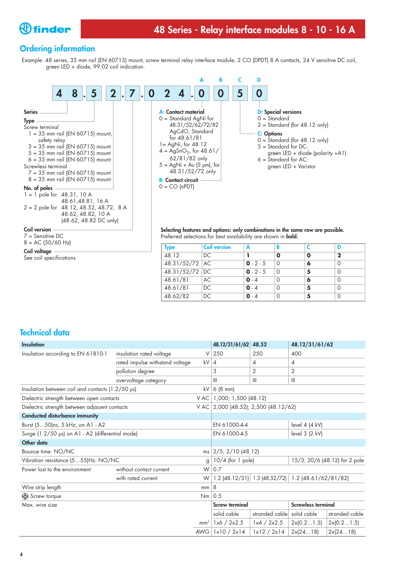

### **Ordering information**

Example: 48 series, 35 mm rail (EN 60715) mount, screw terminal relay interface module, 2 CO (DPDT) 8 A contacts, 24 V sensitive DC coil, green LED + diode, 99.02 coil indication.



**Coil version** 7 = Sensitive DC  $8 = AC (50/60 Hz)$ 

**Coil voltage**

See coil specifications

**Selecting features and options: only combinations in the same row are possible.** Preferred selections for best availability are shown in **bold.**

| <b>Type</b>           | <b>Coil version</b> |             |          |   |    |
|-----------------------|---------------------|-------------|----------|---|----|
| 48.12                 | DC.                 |             | Ω        | Ο | כי |
| 48.31/52/72 AC        |                     | $0 - 2 - 5$ | $\Omega$ | 6 |    |
| 48.31/52/72 DC        |                     | $0 - 2 - 5$ | $\Omega$ | 5 |    |
| $48.61/\overline{81}$ | AC                  | $0 - 4$     |          | 6 |    |
| 48.61/81              | DC                  | $0 - 4$     |          | 5 |    |
| 48.62/82              | DC.                 | $0 - 4$     |          | 5 |    |

### **Technical data**

| Insulation                                       |                                 |                                | 48.12/31/61/62                                     | 48.52                                              | 48.12/31/61/62            |                |
|--------------------------------------------------|---------------------------------|--------------------------------|----------------------------------------------------|----------------------------------------------------|---------------------------|----------------|
| Insulation according to EN 61810-1               | insulation rated voltage        | V                              | 250                                                | 250                                                | 400                       |                |
|                                                  | rated impulse withstand voltage | kV                             | 4                                                  | 4                                                  | 4                         |                |
|                                                  | pollution degree                |                                | 3                                                  | 2                                                  | 2                         |                |
|                                                  | overvoltage category            |                                | Ш                                                  | III                                                | $\mathbb{H}$              |                |
| Insulation between coil and contacts (1.2/50 µs) |                                 | kV                             | $6(8)$ mm                                          |                                                    |                           |                |
| Dielectric strength between open contacts        |                                 | V AC I                         | 1,000; 1,500 (48.12)                               |                                                    |                           |                |
| Dielectric strength between adjacent contacts    |                                 |                                | V AC 2,000 (48.52); 2,500 (48.12/62)               |                                                    |                           |                |
| <b>Conducted disturbance immunity</b>            |                                 |                                |                                                    |                                                    |                           |                |
| Burst (550)ns, 5 kHz, on A1 - A2                 |                                 |                                | EN 61000-4-4<br>level $4(4 \text{ kV})$            |                                                    |                           |                |
| Surge (1.2/50 µs) on A1 - A2 (differential mode) |                                 | EN 61000-4-5<br>level 3 (2 kV) |                                                    |                                                    |                           |                |
| Other data                                       |                                 |                                |                                                    |                                                    |                           |                |
| Bounce time: NO/NC                               |                                 |                                | ms $\left  \frac{2}{5}$ ; 2/10 (48.12)             |                                                    |                           |                |
| Vibration resistance (555)Hz: NO/NC              |                                 | $\mathfrak{g}$                 | 15/3; 20/6 (48.12) for 2 pole<br>10/4 (for 1 pole) |                                                    |                           |                |
| Power lost to the environment                    | without contact current         |                                | $W$ 0.7                                            |                                                    |                           |                |
|                                                  | with rated current              | W <sub>1</sub>                 |                                                    | 1.2 (48.12/31) 1.3 (48.52/72) 1.2 (48.61/62/81/82) |                           |                |
| Wire strip length                                |                                 | mm   8                         |                                                    |                                                    |                           |                |
| Screw torque                                     |                                 | $Nm$ 0.5                       |                                                    |                                                    |                           |                |
| Max. wire size                                   |                                 |                                | <b>Screw terminal</b>                              |                                                    | <b>Screwless terminal</b> |                |
|                                                  |                                 |                                | solid cable                                        | stranded cable solid cable                         |                           | stranded cable |
|                                                  |                                 | mm <sup>2</sup>                | 1x6 / 2x2.5                                        | 1x4 / 2x2.5                                        | 2x(0.21.5)                | 2x(0.21.5)     |
|                                                  |                                 | AWG                            | 1x10 / 2x14                                        | 1x12 / 2x14                                        | 2x(2418)                  | 2x(2418)       |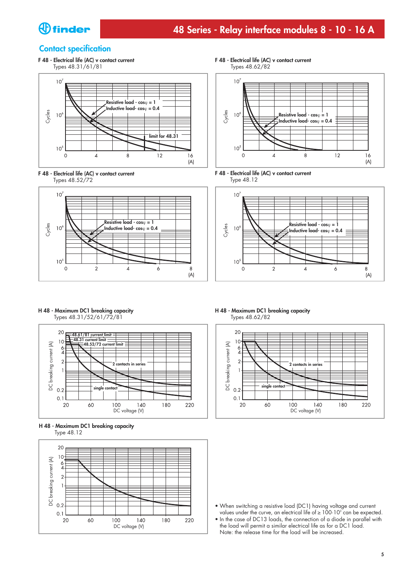

#### **Contact specification**

**F 48 - Electrical life (AC) v contact current** Types 48.31/61/81







**F 48 - Electrical life (AC) v contact current** Types 48.62/82







**H 48 - Maximum DC1 breaking capacity** Types 48.31/52/61/72/81







**H 48 - Maximum DC1 breaking capacity** Types 48.62/82



- **•** When switching a resistive load (DC1) having voltage and current values under the curve, an electrical life of  $\geq 100 \cdot 10^{3}$  can be expected.
- **•** In the case of DC13 loads, the connection of a diode in parallel with the load will permit a similar electrical life as for a DC1 load. Note: the release time for the load will be increased.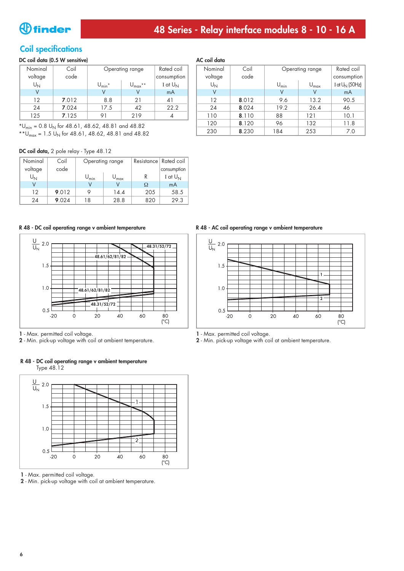### **Coil specifications**

#### **DC coil data (0.5 W sensitive)**

| Nominal | Coil  | Operating range                 |                           | Rated coil  |
|---------|-------|---------------------------------|---------------------------|-------------|
| voltage | code  |                                 |                           | consumption |
| $U_N$   |       | $\mathsf{U}_{\mathsf{min}}{}^*$ | $* *$<br>$U_{\text{max}}$ | I at $U_N$  |
|         |       |                                 |                           | mA          |
| 12      | 7.012 | 8.8                             | 21                        | 41          |
| 24      | 7.024 | 17.5                            | 42                        | 22.2        |
| 125     | 7.125 |                                 | 219                       |             |

 $*U_{\text{min}} = 0.8 \ U_{\text{N}}$  for 48.61, 48.62, 48.81 and 48.82

\*\* $U_{\text{max}}$  = 1.5  $U_{\text{N}}$  for 48.61, 48.62, 48.81 and 48.82

#### **DC coil data,** 2 pole relay - Type 48.12

| Nominal        | Coil  | Operating range  |                  |     | Resistance Rated coil |
|----------------|-------|------------------|------------------|-----|-----------------------|
| voltage        | code  |                  |                  |     | consumption           |
| U <sub>N</sub> |       | $U_{\text{min}}$ | $U_{\text{max}}$ | R   | I at $U_{\rm NI}$     |
|                |       |                  |                  | Ω   | mA                    |
| 12             | 9.012 |                  | 14.4             | 205 | 58.5                  |
| 24             | 9.024 | 18               | 28.8             | 820 | 29.3                  |



**1** - Max. permitted coil voltage.

**2** - Min. pick-up voltage with coil at ambient temperature.

#### **R 48 - DC coil operating range v ambient temperature**  Type 48.12



**1** - Max. permitted coil voltage.

**2** - Min. pick-up voltage with coil at ambient temperature.

#### **AC coil data**

| AS COLUMN |       |                  |                  |                   |  |  |
|-----------|-------|------------------|------------------|-------------------|--|--|
| Nominal   | Coil  |                  | Operating range  | Rated coil        |  |  |
| voltage   | code  |                  |                  | consumption       |  |  |
| $U_N$     |       | $U_{\text{min}}$ | $U_{\text{max}}$ | I at $U_N$ (50Hz) |  |  |
| ٧         |       | ٧                | V                | mA                |  |  |
| 12        | 8.012 | 9.6              | 13.2             | 90.5              |  |  |
| 24        | 8.024 | 19.2             | 26.4             | 46                |  |  |
| 110       | 8.110 | 88               | 121              | 10.1              |  |  |
| 120       | 8.120 | 96               | 132              | 11.8              |  |  |
| 230       | 8.230 | 184              | 253              | 7.0               |  |  |

**R 48 - DC coil operating range v ambient temperature R 48 - AC coil operating range v ambient temperature**



**1** - Max. permitted coil voltage.

**2** - Min. pick-up voltage with coil at ambient temperature.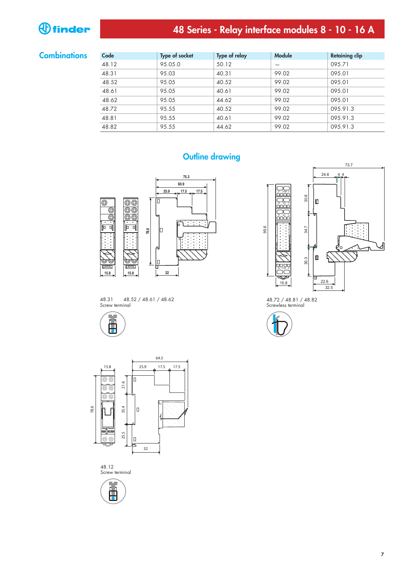# **48 Series - Relay interface modules 8 - 10 - 16 A**

#### **Combinations**

| Code  | <b>Type of socket</b> | Type of relay | <b>Module</b> | <b>Retaining clip</b> |
|-------|-----------------------|---------------|---------------|-----------------------|
| 48.12 | 95.05.0               | 50.12         |               | 095.71                |
| 48.31 | 95.03                 | 40.31         | 99.02         | 095.01                |
| 48.52 | 95.05                 | 40.52         | 99.02         | 095.01                |
| 48.61 | 95.05                 | 40.61         | 99.02         | 095.01                |
| 48.62 | 95.05                 | 44.62         | 99.02         | 095.01                |
| 48.72 | 95.55                 | 40.52         | 99.02         | 095.91.3              |
| 48.81 | 95.55                 | 40.61         | 99.02         | 095.91.3              |
| 48.82 | 95.55                 | 44.62         | 99.02         | 095.91.3              |

















48.72 / 48.81 / 48.82 Screwless terminal



95.6